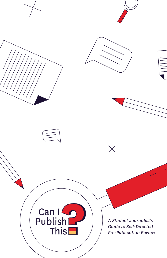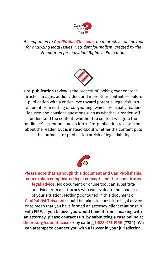

*A companion to [CanIPublishThis.com](http://www.canipublishthis.com), an interactive, online tool for analyzing legal issues in student journalism, created by the Foundation for Individual Rights in Education.*



Pre-publication review is the process of looking over content articles, images, audio, video, and moreother content — before publication with a critical eye toward potential legal risk. It's different from editing or copyediting, which are usually readerfocused and consider questions such as whether a reader will understand the content, whether the content will grab the audience's attention, and so forth. Pre-publication review is not about the reader, but is instead about whether the content puts the journalist or publication at risk of legal liability.



Please note that although this document and [CanIPublishThis.](http://www.canipublishthis.com) [com](http://www.canipublishthis.com) explain complicated legal concepts, neither constitutes legal advice. No document or online tool can substitute for advice from an attorney who can evaluate the nuances of your situation. Nothing contained in this document or **[CanIPublishThis.com](http://www.canipublishthis.com)** should be taken to constitute legal advice or to mean that you have formed an attorney-client relationship with FIRE. If you believe you would benefit from speaking with an attorney, please contact FIRE by submitting a case online at [thefire.org/submitacase](http://www.thefire.org/submitacase) or by calling 1-833-451-FIRE (7734). We can attempt to connect you with a lawyer in your jurisdiction.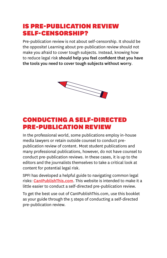### IS PRE-PUBLICATION REVIEW SELF-CENSORSHIP?

Pre-publication review is not about self-censorship. It should be the opposite! Learning about pre-publication review should not make you afraid to cover tough subjects. Instead, knowing how to reduce legal risk should help you feel confident that you have the tools you need to cover tough subjects without worry.



### CONDUCTING A SELF-DIRECTED PRE-PUBLICATION REVIEW

In the professional world, some publications employ in-house media lawyers or retain outside counsel to conduct prepublication review of content. Most student publications and many professional publications, however, do not have counsel to conduct pre-publication reviews. In these cases, it is up to the editors and the journalists themselves to take a critical look at content for potential legal risk.

SPFI has developed a helpful guide to navigating common legal risks: **[CanIPublishThis.com](https://www.canipublishthis.com)**. This website is intended to make it a little easier to conduct a self-directed pre-publication review.

To get the best use out of CanIPublishThis.com, use this booklet as your guide through the 5 steps of conducting a self-directed pre-publication review.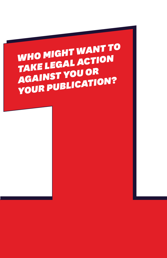# WHO MIGHT WANT TO<br>TAKE LEGAL ACTION<br>AGAINST YOU OR<br>YOUR PUBLICATION?<br>TAKE LEGAL ACTION? *WHO MIGHT WANT TO TAKE LEGAL ACTION AGAINST YOU OR YOUR PUBLICATION?*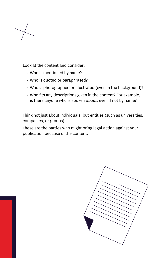

- Who is mentioned by name?
- Who is quoted or paraphrased?
- Who is photographed or illustrated (even in the background)?
- Who fits any descriptions given in the content? For example, is there anyone who is spoken *about*, even if not by name?

Think not just about individuals, but entities (such as universities, companies, or groups).

Look at the content and consider:<br>
Who is mentioned by name?<br>
Who is quoted or paraphrase<br>
Who is photographed or illust<br>
Who fits any descriptions give<br>
is there anyone who is spoken<br>
Think not just about individuals, b<br> These are the parties who might bring legal action against your publication because of the content.

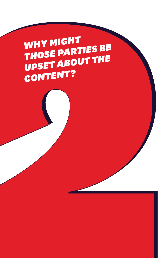# WHY MIGHT<br>THOSE PARTIES BE<br>CONTENT?<br>CONTENT? **WHY MIGHT** *THOSE PARTIES BE UPSET ABOUT THE CONTENT?*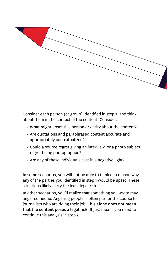

about them in the context of the content. Consider:

- What might upset this person or entity about the content?
- Are quotations and paraphrased content accurate and appropriately contextualized?
- Could a source regret giving an interview, or a photo subject regret being photographed?
- Are any of these individuals cast in a negative light?

In some scenarios, you will not be able to think of a reason why any of the parties you identified in step 1 would be upset. These situations likely carry the least legal risk.

In other scenarios, you'll realize that something you wrote may anger someone. Angering people is often par for the course for journalists who are doing their job. This alone does not mean that the content poses a legal risk. It just means you need to continue this analysis in step 3.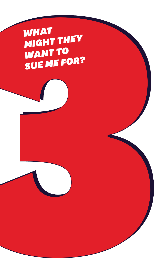WHAT THEY<br>SUE ME FOR?<br>SUE ME FOR? *WHAT MIGHT THEY WANT TO SUE ME FOR?*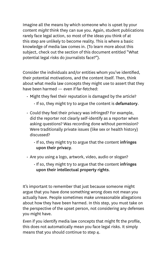Imagine all the means by which someone who is upset by your content *might* think they can sue you. Again, student publications rarely face legal action, so most of the ideas you think of at this step are unlikely to become reality. This is where a basic knowledge of media law comes in. (To learn more about this subject, check out the section of this document entitled "What potential legal risks do journalists face?").

Consider the individuals and/or entities whom you've identified, their potential motivations, and the content itself. Then, think about what media law concepts they might use to assert that they have been harmed — even if far-fetched:

- Might they feel their reputation is damaged by the article?
	- If so, they might try to argue the content is defamatory.
- Could they feel their privacy was infringed? For example, did the reporter not clearly self-identify as a reporter when asking questions? Was recording done without permission? Were traditionally private issues (like sex or health history) discussed?
	- If so, they might try to argue that the content infringes upon their privacy.
- Are you using a logo, artwork, video, audio or slogan?
	- If so, they might try to argue that the content infringes upon their intellectual property rights.

It's important to remember that just because someone might argue that you have done something wrong does not mean you actually have. People sometimes make unreasonable allegations about how they have been harmed. In this step, you must take on the perspective of the upset person, not considering any defenses you might have.

Even if you identify media law concepts that might fit the profile, this does not automatically mean you face legal risks. It simply means that you should continue to step 4.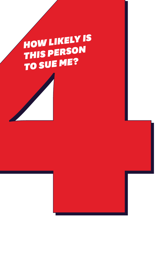## *HOW LIKELY IS THIS PERSON TO SUE ME?*



HOW LIKELY IS<br>THIS PERSON<br>TO SUE ME?<br>And Likely IS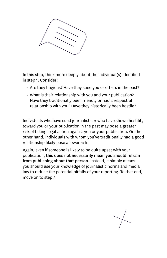

in step 1. Consider:

- Are they litigious? Have they sued you or others in the past?
- What is their relationship with you and your publication? Have they traditionally been friendly or had a respectful relationship with you? Have they historically been hostile?

Individuals who have sued journalists or who have shown hostility toward you or your publication in the past may pose a greater risk of taking legal action against you or your publication. On the other hand, individuals with whom you've traditionally had a good relationship likely pose a lower risk.

Final this step, think more deeply about the individual(s) identified<br>in step 1. Consider:<br>A reaching this move they sued you or others in the past?<br>What is their relationship with you and your publication?<br>Have they radii Again, even if someone is likely to be quite upset with your publication, this does not necessarily mean you should refrain from publishing about that person. Instead, it simply means you should use your knowledge of journalistic norms and media law to reduce the potential pitfalls of your reporting. To that end, move on to step 5.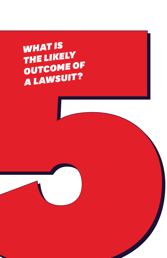WHAT IS<br>THE LIKELY<br>OUTCOME OF<br>A LAWSUIT? *WHAT IS THE LIKELY OUTCOME OF A LAWSUIT?*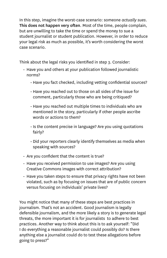In this step, imagine the worst-case scenario: someone *actually sues*. This does not happen very often. Most of the time, people complain, but are unwilling to take the time or spend the money to sue a student journalist or student publication. However, in order to reduce your legal risk as much as possible, it's worth considering the worst case scenario.

Think about the legal risks you identified in step 3. Consider:

- Have you and others at your publication followed journalistic norms?
	- Have you fact checked, including vetting confidential sources?
	- Have you reached out to those on all sides of the issue for comment, particularly those who are being critiqued?
	- Have you reached out multiple times to individuals who are mentioned in the story, particularly if other people ascribe words or actions to them?
	- Is the content precise in language? Are you using quotations fairly?
	- Did your reporters clearly identify themselves as media when speaking with sources?
- Are you confident that the content is true?
- Have you received permission to use images? Are you using Creative Commons images with correct attribution?
- Have you taken steps to ensure that privacy rights have not been violated, such as by focusing on issues that are of public concern versus focusing on individuals' private lives?

You might notice that many of these steps are best practices in journalism. That's not an accident. Good journalism is legally defensible journalism, and the more likely a story is to generate legal threats, the more important it is for journalists to adhere to best practices. Another way to think about this is to ask yourself: "Did I do everything a reasonable journalist could possibly do? Is there anything else a journalist could do to test these allegations before going to press?"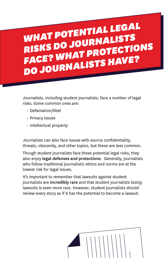## *WHAT POTENTIAL LEGAL RISKS DO JOURNALISTS FACE? WHAT PROTECTIONS DO JOURNALISTS HAVE?*

Journalists, including student journalists, face a number of legal risks. Some common ones are:

- Defamation/libel
- Privacy issues
- Intellectual property

Journalists can also face issues with source confidentiality, threats, obscenity, and other topics, but these are less common.

Though student journalists face these potential legal risks, they also enjoy legal defenses and protections. Generally, journalists who follow traditional journalistic ethics and norms are at the lowest risk for legal issues.

It's important to remember that lawsuits against student journalists are incredibly rare and that student journalists *losing* lawsuits is even more rare. However, student journalists should review every story as if it has the potential to become a lawsuit.

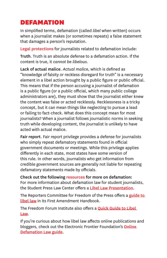### **DEFAMATION**

In simplified terms, defamation (called *libel* when written) occurs when a journalist makes (or sometimes repeats) a false statement that damages a person's reputation.

Legal protections for journalists related to defamation include:

Truth. Truth is an absolute defense to a defamation action. If the content is true, it *cannot be libelous*.

Lack of actual malice. *Actual malice*, which is defined as "knowledge of falsity or reckless disregard for truth" is a necessary element in a libel action brought by a public figure or public official. This means that if the person accusing a journalist of defamation is a public figure (or a public official, which many public college administrators are), they must show that the journalist either knew the content was false or acted recklessly. Recklessness is a tricky concept, but it can mean things like neglecting to pursue a lead or failing to fact-check. What does this concept mean for most journalists? When a journalist follows journalistic norms in seeking truth while developing content, the journalist is unlikely to have acted with actual malice.

Fair report. Fair report privilege provides a defense for journalists who simply repeat defamatory statements found in official government documents or meetings. While this privilege applies differently in each state, most states have some version of this rule. In other words, journalists who get information from credible government sources are generally not liable for repeating defamatory statements made by officials.

Check out the following resources for more on defamation: For more information about defamation law for student journalists, the Student Press Law Center offers a [Libel Law Presentation](https://splc.org/2019/09/media-law-presentation-libel-law/).

The Reporters Committee for Freedom of the Press offers a guide to [libel law](https://www.rcfp.org/resources/first-amendment-handbook/#libel) in its First Amendment Handbook.

The Freedom Forum Institute also offers a **Quick Guide to Libel** [Law](https://www.freedomforuminstitute.org/first-amendment-center/primers/libellaw/).

If you're curious about how libel law affects online publications and bloggers, check out the Electronic Frontier Foundation's **Online** [Defamation Law guide](https://www.eff.org/issues/bloggers/legal/liability/defamation).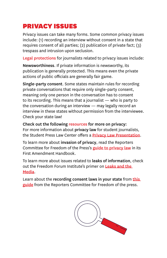### PRIVACY ISSUES

Privacy issues can take many forms. Some common privacy issues include: (1) recording an interview without consent in a state that requires consent of all parties; (2) publication of private fact; (3) trespass and intrusion upon seclusion.

Legal protections for journalists related to privacy issues include:

Newsworthiness. If private information is newsworthy, its publication is generally protected. This means even the private actions of public officials are generally fair game.

Single-party consent. Some states maintain rules for recording private conversations that require only single-party consent, meaning only one person in the conversation has to consent to its recording. This means that a journalist — who is party to the conversation during an interview — may legally record an interview in these states without permission from the interviewee. Check your state law!

Check out the following resources for more on privacy: For more information about privacy law for student journalists, the Student Press Law Center offers a **[Privacy Law Presentation](https://splc.org/2020/04/privacy-law-presentation/)**.

To learn more about invasion of privacy, read the Reporters Committee for Freedom of the Press's [guide to privacy law](https://www.rcfp.org/resources/first-amendment-handbook/#invasion-of-privacy) in its First Amendment Handbook.

To learn more about issues related to leaks of information, check out the Freedom Forum Institute's primer on Leaks and the [Media](https://www.freedomforuminstitute.org/first-amendment-center/primers/leaks-and-the-media/).

Learn about the recording consent laws in your state from this [guide](https://www.rcfp.org/reporters-recording-guide/) from the Reporters Committee for Freedom of the press.

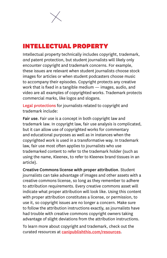### INTELLECTUAL PROPERTY

Intellectual property technically includes copyright, trademark, *and* patent protection, but student journalists will likely only encounter copyright and trademark concerns. For example, these issues are relevant when student journalists choose stock images for articles or when student podcasters choose music to accompany their episodes. Copyright protects any creative work that is fixed in a tangible medium — images, audio, and video are all examples of copyrighted works. Trademark protects commercial marks, like logos and slogans.

Legal protections for journalists related to copyright and trademark include:

Fair use. Fair use is a concept in both copyright law and trademark law. In copyright law, fair use analysis is complicated, but it can allow use of copyrighted works for commentary and educational purposes as well as in instances when the copyrighted work is used in a transformative way. In trademark law, fair use most often applies to journalists who use trademarked content to refer to the trademark holder (such as using the name, Kleenex, to refer to Kleenex brand tissues in an article).

Creative Commons license with proper attribution. Student journalists can take advantage of images and other assets with a creative commons license, so long as they remember to adhere to attribution requirements. Every creative commons asset will indicate what proper attribution will look like. Using this content with proper attribution constitutes a license, or permission, to use it, so copyright issues are no longer a concern. Make sure to follow the attribution instructions exactly, as journalists have had trouble with creative commons copyright owners taking advantage of slight deviations from the attribution instructions.

To learn more about copyright and trademark, check out the curated resources at canipublishthis.com/resources.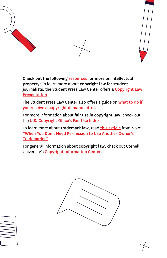



The Student Press Law Center also offers a guide on what to do if [you receive a copyright demand letter](https://splc.org/how-to-respond-to-auto-generated-copyright-infringement-notices/).

For more information about fair use in copyright law, check out the [U.S. Copyright Office's Fair Use Index](https://www.copyright.gov/fair-use/more-info.html).

To learn more about trademark law, read [this article](https://www.nolo.com/legal-encyclopedia/when-you-need-permission-use-trademarks.html) from Nolo: ["When You Don't Need Permission to Use Another Owner's](https://www.nolo.com/legal-encyclopedia/when-you-need-permission-use-trademarks.html)  [Trademarks."](https://www.nolo.com/legal-encyclopedia/when-you-need-permission-use-trademarks.html)

For general information about copyright law, check out Cornell University's [Copyright Information Center](https://guides.library.cornell.edu/copyright).





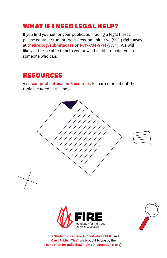### WHAT IF I NEED LEGAL HELP?

If you find yourself or your publication facing a legal threat, please contact Student Press Freedom Initiative (SPFI) right away at [thefire.org/submitacase](http://www.thefire.org/submitacase) or 1-717-734-SPFI (7734). We will likely either be able to help you or will be able to point you to someone who can.

### RESOURCES

Visit [canipublishthis.com/resources](http://www.canipublishthis.com/resources) to learn more about the topic included in this book.



Can I Publish This? are brought to you by the Foundation for Individual Rights in Education (FIRE).